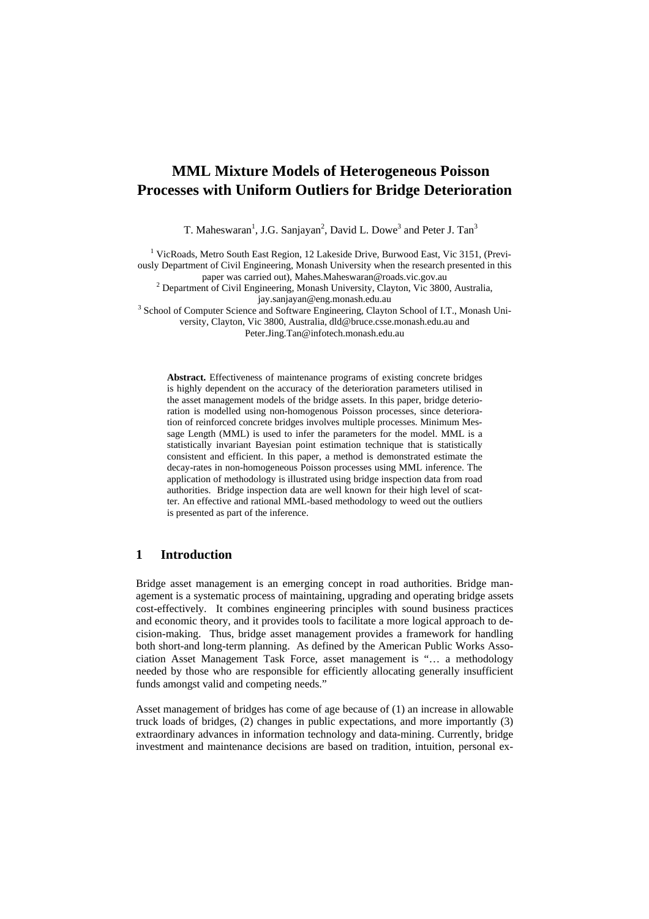# **MML Mixture Models of Heterogeneous Poisson Processes with Uniform Outliers for Bridge Deterioration**

T. Maheswaran<sup>1</sup>, J.G. Sanjayan<sup>2</sup>, David L. Dowe<sup>3</sup> and Peter J. Tan<sup>3</sup>

<sup>1</sup> VicRoads, Metro South East Region, 12 Lakeside Drive, Burwood East, Vic 3151, (Previously Department of Civil Engineering, Monash University when the research presented in this

paper was carried out), Mahes.Maheswaran@roads.vic.gov.au 2

<sup>2</sup> Department of Civil Engineering, Monash University, Clayton, Vic 3800, Australia,

jay.sanjayan@eng.monash.edu.au<br>
<sup>3</sup> School of Computer Science and Software Engineering, Clayton School of I.T., Monash University, Clayton, Vic 3800, Australia, dld@bruce.csse.monash.edu.au and

Peter.Jing.Tan@infotech.monash.edu.au

**Abstract.** Effectiveness of maintenance programs of existing concrete bridges is highly dependent on the accuracy of the deterioration parameters utilised in the asset management models of the bridge assets. In this paper, bridge deterioration is modelled using non-homogenous Poisson processes, since deterioration of reinforced concrete bridges involves multiple processes. Minimum Message Length (MML) is used to infer the parameters for the model. MML is a statistically invariant Bayesian point estimation technique that is statistically consistent and efficient. In this paper, a method is demonstrated estimate the decay-rates in non-homogeneous Poisson processes using MML inference. The application of methodology is illustrated using bridge inspection data from road authorities. Bridge inspection data are well known for their high level of scatter. An effective and rational MML-based methodology to weed out the outliers is presented as part of the inference.

### **1 Introduction**

Bridge asset management is an emerging concept in road authorities. Bridge management is a systematic process of maintaining, upgrading and operating bridge assets cost-effectively. It combines engineering principles with sound business practices and economic theory, and it provides tools to facilitate a more logical approach to decision-making. Thus, bridge asset management provides a framework for handling both short-and long-term planning. As defined by the American Public Works Association Asset Management Task Force, asset management is "… a methodology needed by those who are responsible for efficiently allocating generally insufficient funds amongst valid and competing needs."

Asset management of bridges has come of age because of (1) an increase in allowable truck loads of bridges, (2) changes in public expectations, and more importantly (3) extraordinary advances in information technology and data-mining. Currently, bridge investment and maintenance decisions are based on tradition, intuition, personal ex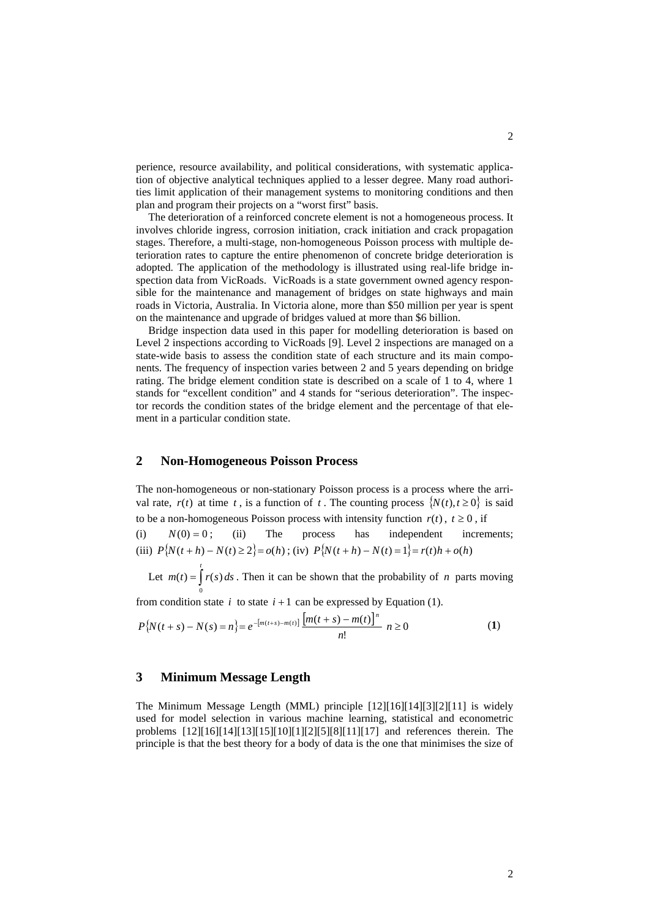perience, resource availability, and political considerations, with systematic application of objective analytical techniques applied to a lesser degree. Many road authorities limit application of their management systems to monitoring conditions and then plan and program their projects on a "worst first" basis.

The deterioration of a reinforced concrete element is not a homogeneous process. It involves chloride ingress, corrosion initiation, crack initiation and crack propagation stages. Therefore, a multi-stage, non-homogeneous Poisson process with multiple deterioration rates to capture the entire phenomenon of concrete bridge deterioration is adopted. The application of the methodology is illustrated using real-life bridge inspection data from VicRoads. VicRoads is a state government owned agency responsible for the maintenance and management of bridges on state highways and main roads in Victoria, Australia. In Victoria alone, more than \$50 million per year is spent on the maintenance and upgrade of bridges valued at more than \$6 billion.

Bridge inspection data used in this paper for modelling deterioration is based on Level 2 inspections according to VicRoads [9]. Level 2 inspections are managed on a state-wide basis to assess the condition state of each structure and its main components. The frequency of inspection varies between 2 and 5 years depending on bridge rating. The bridge element condition state is described on a scale of 1 to 4, where 1 stands for "excellent condition" and 4 stands for "serious deterioration". The inspector records the condition states of the bridge element and the percentage of that element in a particular condition state.

# **2 Non-Homogeneous Poisson Process**

The non-homogeneous or non-stationary Poisson process is a process where the arrival rate,  $r(t)$  at time *t*, is a function of *t*. The counting process  $\{N(t), t \ge 0\}$  is said to be a non-homogeneous Poisson process with intensity function  $r(t)$ ,  $t \ge 0$ , if

(i)  $N(0) = 0$ ; (ii) The process has independent increments; (iii)  $P{N(t + h) - N(t) \ge 2} = o(h);$  (iv)  $P{N(t + h) - N(t) = 1} = r(t)h + o(h)$ 

Let  $m(t) = \int_0^t$  $m(t) = |r(s) ds$ 0  $(t) = | r(s) ds$ . Then it can be shown that the probability of *n* parts moving

from condition state  $i$  to state  $i + 1$  can be expressed by Equation (1).

$$
P\{N(t+s) - N(s) = n\} = e^{-[m(t+s) - m(t)]} \frac{[m(t+s) - m(t)]^n}{n!} \quad n \ge 0
$$
 (1)

### **3 Minimum Message Length**

The Minimum Message Length (MML) principle  $[12][16][14][3][2][11]$  is widely used for model selection in various machine learning, statistical and econometric problems  $[12][16][14][13][15][10][1][2][5][8][11][17]$  and references therein. The principle is that the best theory for a body of data is the one that minimises the size of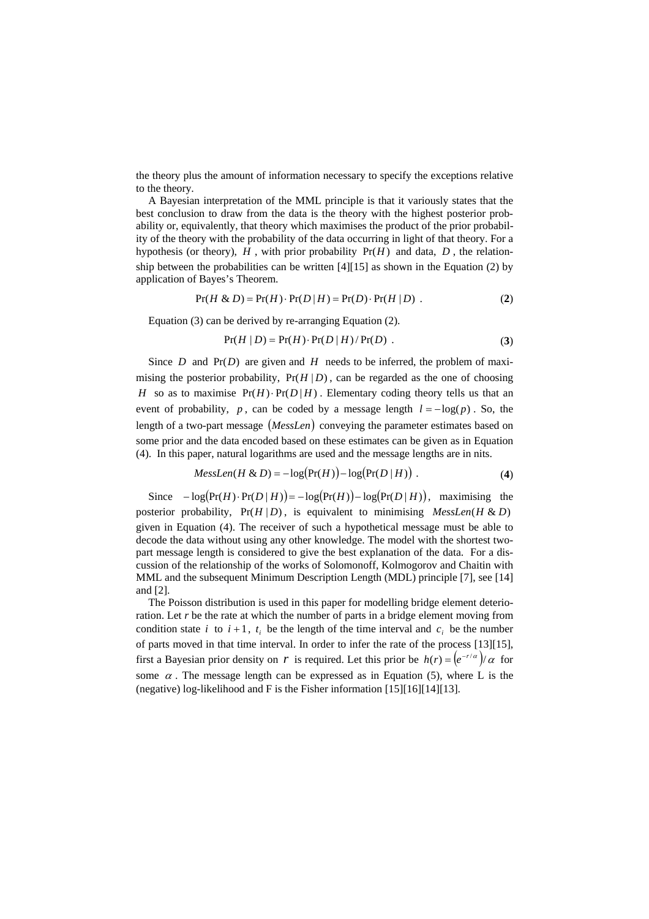the theory plus the amount of information necessary to specify the exceptions relative to the theory.

A Bayesian interpretation of the MML principle is that it variously states that the best conclusion to draw from the data is the theory with the highest posterior probability or, equivalently, that theory which maximises the product of the prior probability of the theory with the probability of the data occurring in light of that theory. For a hypothesis (or theory),  $H$ , with prior probability  $Pr(H)$  and data,  $D$ , the relationship between the probabilities can be written  $[4][15]$  as shown in the Equation (2) by application of Bayes's Theorem.

$$
Pr(H \& D) = Pr(H) \cdot Pr(D | H) = Pr(D) \cdot Pr(H | D) . \tag{2}
$$

Equation (3) can be derived by re-arranging Equation (2).

$$
Pr(H | D) = Pr(H) \cdot Pr(D | H) / Pr(D) . \qquad (3)
$$

Since *D* and Pr(*D*) are given and *H* needs to be inferred, the problem of maximising the posterior probability,  $Pr(H | D)$ , can be regarded as the one of choosing *H* so as to maximise  $Pr(H) \cdot Pr(D|H)$ . Elementary coding theory tells us that an event of probability, *p*, can be coded by a message length  $l = -\log(p)$ . So, the length of a two-part message (*MessLen*) conveying the parameter estimates based on some prior and the data encoded based on these estimates can be given as in Equation (4). In this paper, natural logarithms are used and the message lengths are in nits.

$$
Message(H \& D) = -\log(\Pr(H)) - \log(\Pr(D \mid H)). \tag{4}
$$

Since  $-\log(\Pr(H) \cdot \Pr(D \mid H)) = -\log(\Pr(H)) - \log(\Pr(D \mid H)),$  maximising the posterior probability,  $Pr(H | D)$ , is equivalent to minimising *MessLen*( $H \& D$ ) given in Equation (4). The receiver of such a hypothetical message must be able to decode the data without using any other knowledge. The model with the shortest twopart message length is considered to give the best explanation of the data. For a discussion of the relationship of the works of Solomonoff, Kolmogorov and Chaitin with MML and the subsequent Minimum Description Length (MDL) principle [7], see [14] and [2].

The Poisson distribution is used in this paper for modelling bridge element deterioration. Let *r* be the rate at which the number of parts in a bridge element moving from condition state *i* to  $i + 1$ ,  $t_i$  be the length of the time interval and  $c_i$  be the number of parts moved in that time interval. In order to infer the rate of the process [ 13][ 15], first a Bayesian prior density on *r* is required. Let this prior be  $h(r) = (e^{-r/\alpha})/\alpha$  for some  $\alpha$ . The message length can be expressed as in Equation (5), where L is the (negative) log-likelihood and F is the Fisher information  $[15][16][14][13]$ .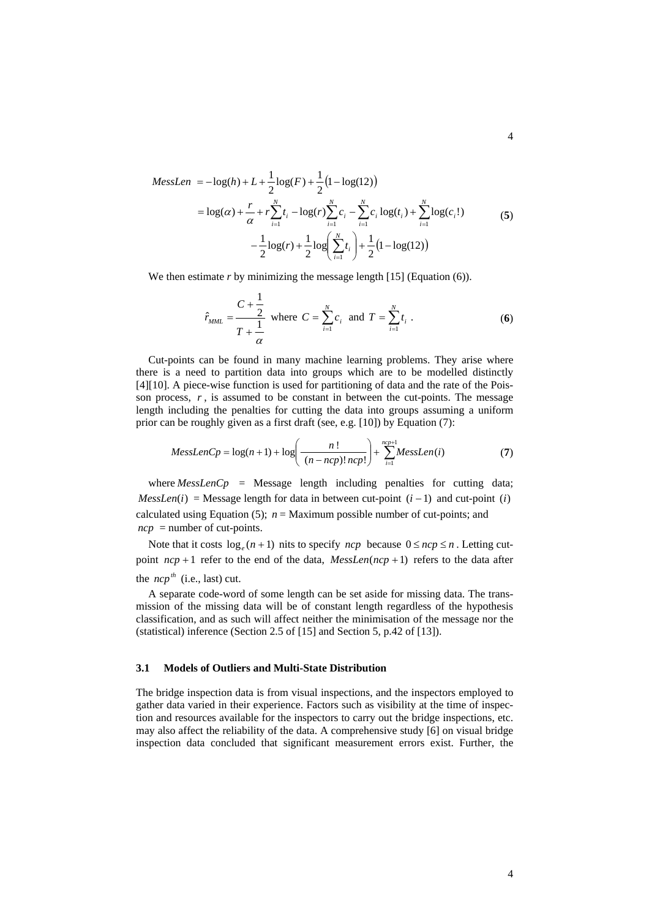$$
Message = -\log(h) + L + \frac{1}{2}\log(F) + \frac{1}{2}\left(1 - \log(12)\right)
$$
  
=  $\log(\alpha) + \frac{r}{\alpha} + r\sum_{i=1}^{N} t_i - \log(r)\sum_{i=1}^{N} c_i - \sum_{i=1}^{N} c_i \log(t_i) + \sum_{i=1}^{N} \log(c_i!) - \frac{1}{2}\log(r) + \frac{1}{2}\log\left(\sum_{i=1}^{N} t_i\right) + \frac{1}{2}\left(1 - \log(12)\right)$  (5)

We then estimate *r* by minimizing the message length [15] (Equation (6)).

$$
\hat{r}_{MML} = \frac{C + \frac{1}{2}}{T + \frac{1}{\alpha}} \text{ where } C = \sum_{i=1}^{N} c_i \text{ and } T = \sum_{i=1}^{N} t_i \text{ .}
$$
 (6)

Cut-points can be found in many machine learning problems. They arise where there is a need to partition data into groups which are to be modelled distinctly [4][10]. A piece-wise function is used for partitioning of data and the rate of the Poisson process,  $r$ , is assumed to be constant in between the cut-points. The message length including the penalties for cutting the data into groups assuming a uniform prior can be roughly given as a first draft (see, e.g. [ 10]) by Equation (7):

$$
MessageCp = log(n+1) + log\left(\frac{n!}{(n-ncp)!ncp!}\right) + \sum_{i=1}^{ncp+1} MessageN(1)
$$
 (7)

where *MessLenCp* = Message length including penalties for cutting data; *MessLen*( $i$ ) = Message length for data in between cut-point ( $i$  − 1) and cut-point ( $i$ ) calculated using Equation (5);  $n =$  Maximum possible number of cut-points; and  $ncp =$  number of cut-points.

Note that it costs  $\log_a(n+1)$  nits to specify *ncp* because  $0 \leq ncp \leq n$ . Letting cutpoint  $ncp + 1$  refer to the end of the data,  $Message(ncp + 1)$  refers to the data after the  $ncp^{th}$  (i.e., last) cut.

A separate code-word of some length can be set aside for missing data. The transmission of the missing data will be of constant length regardless of the hypothesis classification, and as such will affect neither the minimisation of the message nor the (statistical) inference (Section 2.5 of [ 15] and Section 5, p.42 of [ 13]).

#### **3.1 Models of Outliers and Multi-State Distribution**

The bridge inspection data is from visual inspections, and the inspectors employed to gather data varied in their experience. Factors such as visibility at the time of inspection and resources available for the inspectors to carry out the bridge inspections, etc. may also affect the reliability of the data. A comprehensive study [ 6] on visual bridge inspection data concluded that significant measurement errors exist. Further, the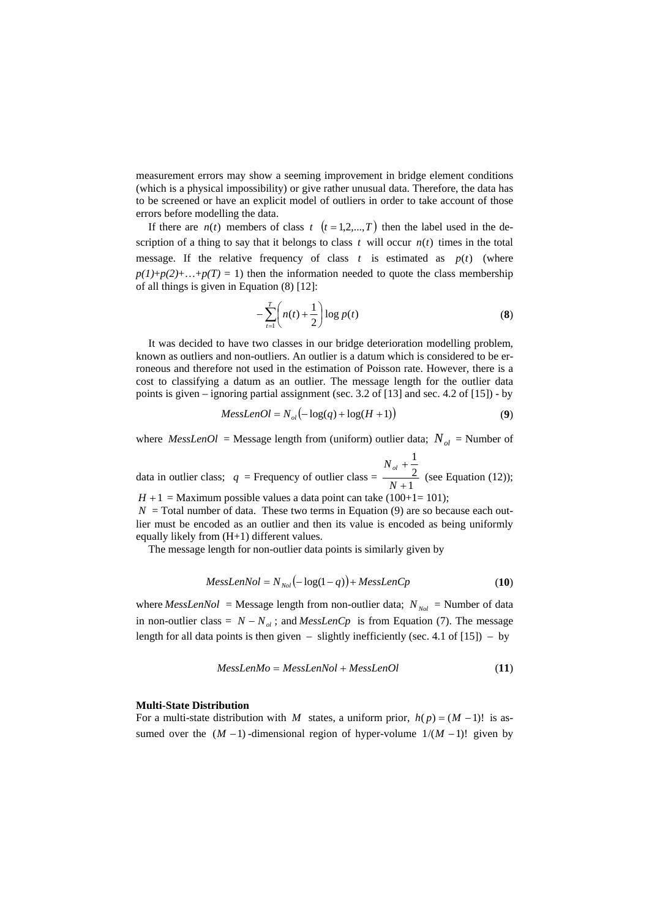measurement errors may show a seeming improvement in bridge element conditions (which is a physical impossibility) or give rather unusual data. Therefore, the data has to be screened or have an explicit model of outliers in order to take account of those errors before modelling the data.

If there are  $n(t)$  members of class  $t \ (t = 1, 2, ..., T)$  then the label used in the description of a thing to say that it belongs to class  $t$  will occur  $n(t)$  times in the total message. If the relative frequency of class  $t$  is estimated as  $p(t)$  (where  $p(1)+p(2)+\ldots+p(T)=1$ ) then the information needed to quote the class membership of all things is given in Equation  $(8)$  [12]:

$$
-\sum_{t=1}^{T} \left( n(t) + \frac{1}{2} \right) \log p(t) \tag{8}
$$

It was decided to have two classes in our bridge deterioration modelling problem, known as outliers and non-outliers. An outlier is a datum which is considered to be erroneous and therefore not used in the estimation of Poisson rate. However, there is a cost to classifying a datum as an outlier. The message length for the outlier data points is given – ignoring partial assignment (sec. 3.2 of [13] and sec. 4.2 of [15]) - by

$$
MessageOL = N_{ol}(-\log(q) + \log(H + 1))
$$
\n(9)

where *MessLenOl* = Message length from (uniform) outlier data;  $N_{ol}$  = Number of

data in outlier class;  $q$  = Frequency of outlier class =  $\frac{2}{N+1}$ 1 + + *N*  $N_{ol}$ (see Equation (12));

 $H + 1 =$  Maximum possible values a data point can take (100+1= 101);

 $N =$ Total number of data. These two terms in Equation (9) are so because each outlier must be encoded as an outlier and then its value is encoded as being uniformly equally likely from (H+1) different values.

The message length for non-outlier data points is similarly given by

$$
MessageNol = N_{Nol}(-\log(1-q)) + MessagenCp
$$
\n(10)

where  $MessLenNol =$ Message length from non-outlier data;  $N_{Nol} =$ Number of data in non-outlier class =  $N - N_{ol}$ ; and *MessLenCp* is from Equation (7). The message length for all data points is then given  $-$  slightly inefficiently (sec. 4.1 of [15])  $-$  by

$$
MessageMo = MessLenNol + MessLenOl \tag{11}
$$

#### **Multi-State Distribution**

For a multi-state distribution with *M* states, a uniform prior,  $h(p) = (M - 1)!$  is assumed over the (*M* −1) -dimensional region of hyper-volume 1/(*M* −1)! given by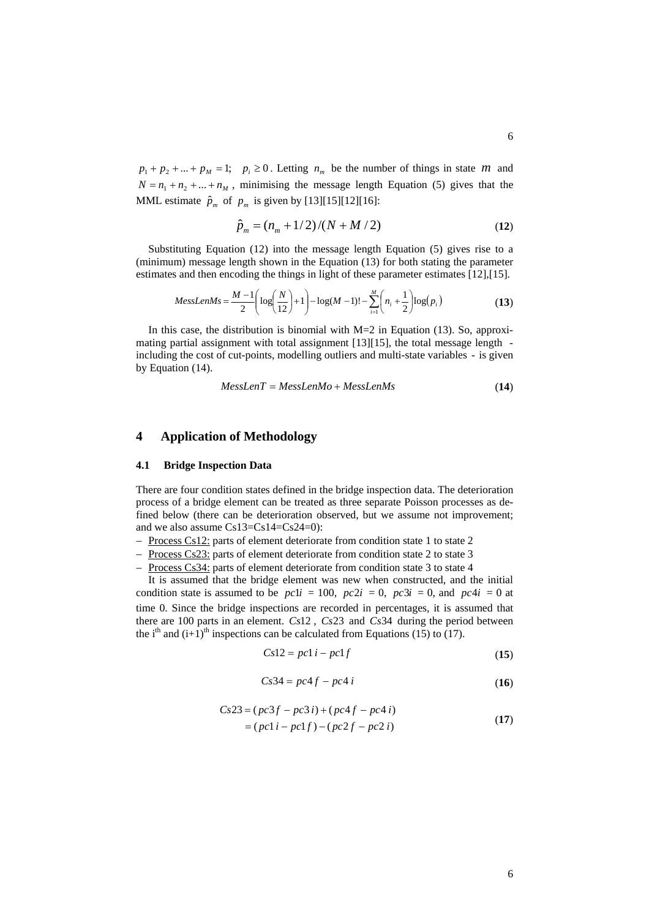$p_1 + p_2 + ... + p_M = 1$ ;  $p_i \ge 0$ . Letting  $n_m$  be the number of things in state *m* and  $N = n_1 + n_2 + ... + n_M$ , minimising the message length Equation (5) gives that the MML estimate  $\hat{p}_m$  of  $p_m$  is given by [13][15][12][16]:

$$
\hat{p}_m = (n_m + 1/2)/(N + M/2)
$$
 (12)

Substituting Equation (12) into the message length Equation (5) gives rise to a (minimum) message length shown in the Equation (13) for both stating the parameter estimates and then encoding the things in light of these parameter estimates [12],[15].

$$
MessageMs = \frac{M-1}{2} \left( \log \left( \frac{N}{12} \right) + 1 \right) - \log(M-1)! - \sum_{i=1}^{M} \left( n_i + \frac{1}{2} \right) \log(p_i)
$$
(13)

In this case, the distribution is binomial with  $M=2$  in Equation (13). So, approximating partial assignment with total assignment [13][15], the total message length including the cost of cut-points, modelling outliers and multi-state variables - is given by Equation (14).

$$
Message = MessagenMo + MessLenMs
$$
\n(14)

# **4 Application of Methodology**

#### **4.1 Bridge Inspection Data**

There are four condition states defined in the bridge inspection data. The deterioration process of a bridge element can be treated as three separate Poisson processes as defined below (there can be deterioration observed, but we assume not improvement; and we also assume Cs13=Cs14=Cs24=0):

- − Process Cs12: parts of element deteriorate from condition state 1 to state 2
- − Process Cs23: parts of element deteriorate from condition state 2 to state 3
- − Process Cs34: parts of element deteriorate from condition state 3 to state 4

It is assumed that the bridge element was new when constructed, and the initial condition state is assumed to be  $pcli = 100$ ,  $pc2i = 0$ ,  $pc3i = 0$ , and  $pc4i = 0$  at time 0. Since the bridge inspections are recorded in percentages, it is assumed that there are 100 parts in an element. *Cs*12 , *Cs*23 and *Cs*34 during the period between the i<sup>th</sup> and  $(i+1)$ <sup>th</sup> inspections can be calculated from Equations (15) to (17).

$$
Cs12 = pc1 i - pc1 f \tag{15}
$$

$$
Cs34 = pc4f - pc4i
$$
\n
$$
(16)
$$

$$
Cs23 = (pc3f - pc3i) + (pc4f - pc4i)
$$
  
= (pc1i - pc1f) - (pc2f - pc2i) (17)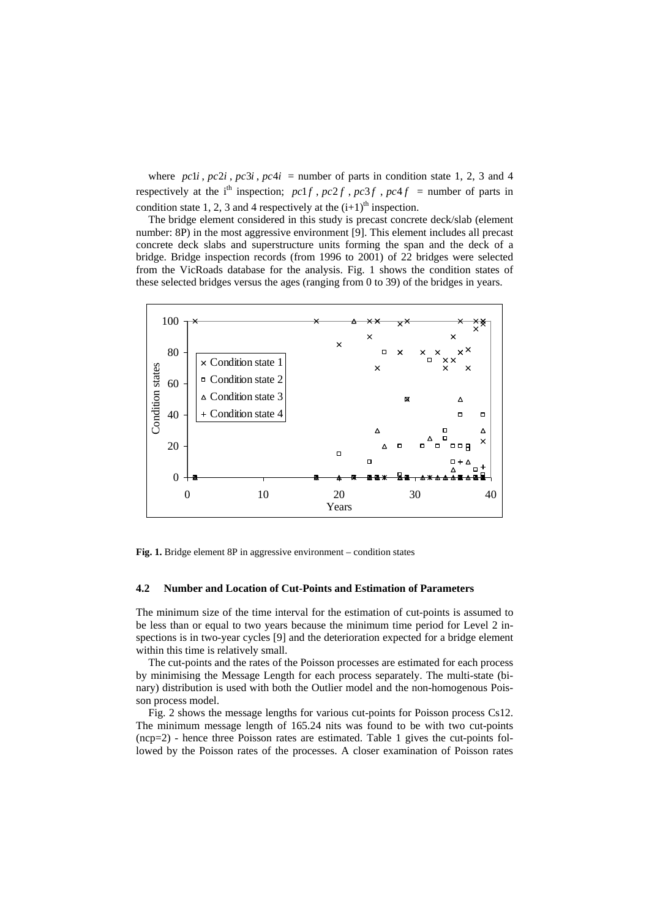where  $pcli$ ,  $pc2i$ ,  $pc3i$ ,  $pc4i$  = number of parts in condition state 1, 2, 3 and 4 respectively at the i<sup>th</sup> inspection;  $pcf$ ,  $pcf$ ,  $pcf$ ,  $pcf$ ,  $pcf$  = number of parts in condition state 1, 2, 3 and 4 respectively at the  $(i+1)^{th}$  inspection.

The bridge element considered in this study is precast concrete deck/slab (element number: 8P) in the most aggressive environment [9]. This element includes all precast concrete deck slabs and superstructure units forming the span and the deck of a bridge. Bridge inspection records (from 1996 to 2001) of 22 bridges were selected from the VicRoads database for the analysis. Fig. 1 shows the condition states of these selected bridges versus the ages (ranging from 0 to 39) of the bridges in years.



**Fig. 1.** Bridge element 8P in aggressive environment – condition states

#### **4.2 Number and Location of Cut-Points and Estimation of Parameters**

The minimum size of the time interval for the estimation of cut-points is assumed to be less than or equal to two years because the minimum time period for Level 2 inspections is in two-year cycles [9] and the deterioration expected for a bridge element within this time is relatively small.

The cut-points and the rates of the Poisson processes are estimated for each process by minimising the Message Length for each process separately. The multi-state (binary) distribution is used with both the Outlier model and the non-homogenous Poisson process model.

Fig. 2 shows the message lengths for various cut-points for Poisson process Cs12. The minimum message length of 165.24 nits was found to be with two cut-points (ncp=2) - hence three Poisson rates are estimated. Table 1 gives the cut-points followed by the Poisson rates of the processes. A closer examination of Poisson rates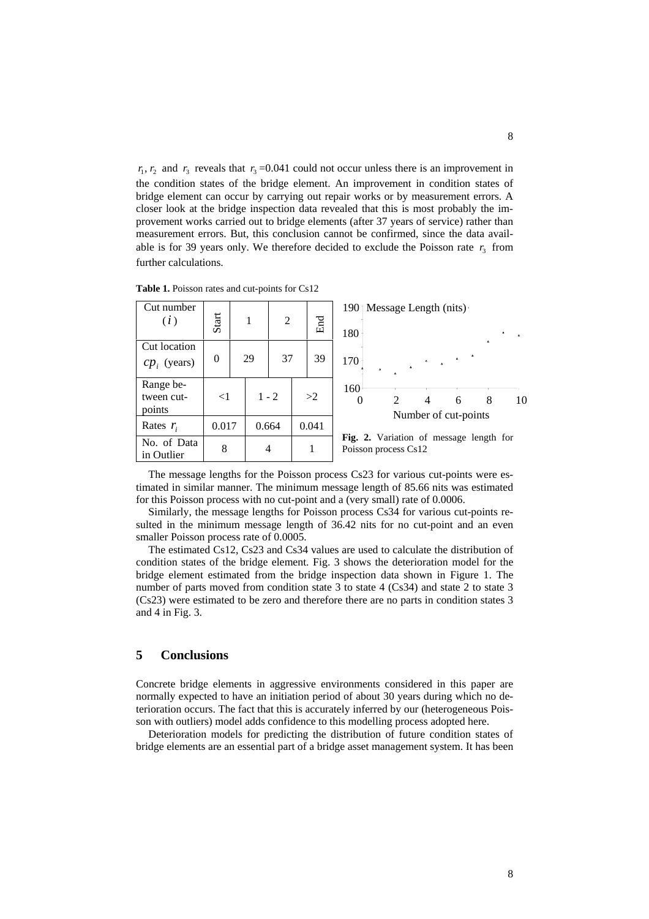$r_1$ ,  $r_2$  and  $r_3$  reveals that  $r_3 = 0.041$  could not occur unless there is an improvement in the condition states of the bridge element. An improvement in condition states of bridge element can occur by carrying out repair works or by measurement errors. A closer look at the bridge inspection data revealed that this is most probably the improvement works carried out to bridge elements (after 37 years of service) rather than measurement errors. But, this conclusion cannot be confirmed, since the data available is for 39 years only. We therefore decided to exclude the Poisson rate  $r<sub>2</sub>$  from further calculations.

160 170 180 190 Message Length (nits) ' 0 2 4 6 8 10 Number of cut-points **Fig. 2.** Variation of message length for Poisson process Cs12 Cut number (*i* ) Start 1 2 End Cut location *cp*, (years)  $\begin{array}{|c|c|c|c|} \hline 0 & 29 & 37 & 39 \ \hline \end{array}$ Range between cutpoints  $\lt 1$  1 - 2  $\lt 2$ Rates  $r = 0.017 \mid 0.664 \mid 0.041$ No. of Data  $\begin{array}{c|c|c|c|c|c|c} \hline \text{iv.} & \text{or Data} & \text{8} & 4 & 1 \\ \hline \text{in Outline} & & 8 & 4 & 1 \end{array}$ 

**Table 1.** Poisson rates and cut-points for Cs12

The message lengths for the Poisson process Cs23 for various cut-points were estimated in similar manner. The minimum message length of 85.66 nits was estimated for this Poisson process with no cut-point and a (very small) rate of 0.0006.

Similarly, the message lengths for Poisson process Cs34 for various cut-points resulted in the minimum message length of 36.42 nits for no cut-point and an even smaller Poisson process rate of 0.0005.

The estimated Cs12, Cs23 and Cs34 values are used to calculate the distribution of condition states of the bridge element. Fig. 3 shows the deterioration model for the bridge element estimated from the bridge inspection data shown in Figure 1. The number of parts moved from condition state 3 to state 4 (Cs34) and state 2 to state 3 (Cs23) were estimated to be zero and therefore there are no parts in condition states 3 and 4 in Fig. 3.

# **5 Conclusions**

Concrete bridge elements in aggressive environments considered in this paper are normally expected to have an initiation period of about 30 years during which no deterioration occurs. The fact that this is accurately inferred by our (heterogeneous Poisson with outliers) model adds confidence to this modelling process adopted here.

Deterioration models for predicting the distribution of future condition states of bridge elements are an essential part of a bridge asset management system. It has been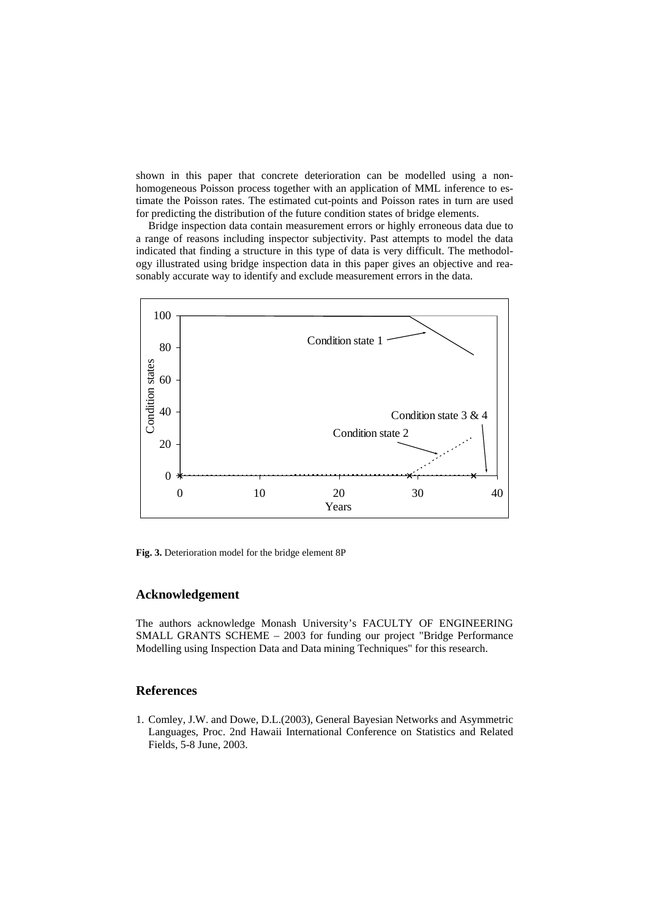shown in this paper that concrete deterioration can be modelled using a nonhomogeneous Poisson process together with an application of MML inference to estimate the Poisson rates. The estimated cut-points and Poisson rates in turn are used for predicting the distribution of the future condition states of bridge elements.

Bridge inspection data contain measurement errors or highly erroneous data due to a range of reasons including inspector subjectivity. Past attempts to model the data indicated that finding a structure in this type of data is very difficult. The methodology illustrated using bridge inspection data in this paper gives an objective and reasonably accurate way to identify and exclude measurement errors in the data.



**Fig. 3.** Deterioration model for the bridge element 8P

### **Acknowledgement**

The authors acknowledge Monash University's FACULTY OF ENGINEERING SMALL GRANTS SCHEME – 2003 for funding our project "Bridge Performance Modelling using Inspection Data and Data mining Techniques" for this research.

# **References**

1. Comley, J.W. and Dowe, D.L.(2003), General Bayesian Networks and Asymmetric Languages, Proc. 2nd Hawaii International Conference on Statistics and Related Fields, 5-8 June, 2003.